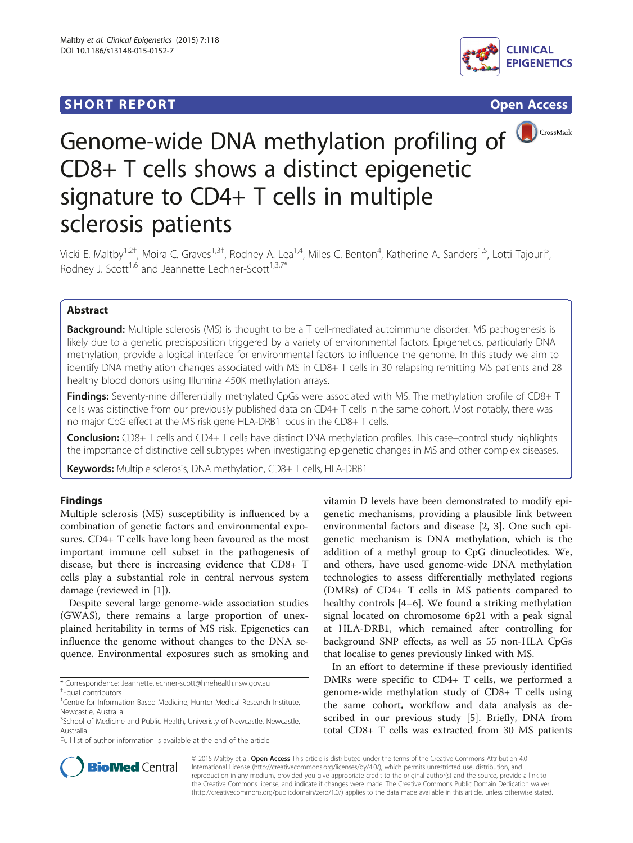# **SHORT REPORT SHORT CONSUMING THE CONSUMING THE CONSUMING THE CONSUMING THE CONSUMING THE CONSUMING THE CONSUMING THE CONSUMING THE CONSUMING THE CONSUMING THE CONSUMING THE CONSUMING THE CONSUMING THE CONSUMING THE CO**





# Genome-wide DNA methylation profiling of  $\bigcirc$ <sup>CrossMark</sup> CD8+ T cells shows a distinct epigenetic signature to CD4+ T cells in multiple sclerosis patients

Vicki E. Maltby<sup>1,2†</sup>, Moira C. Graves<sup>1,3†</sup>, Rodney A. Lea<sup>1,4</sup>, Miles C. Benton<sup>4</sup>, Katherine A. Sanders<sup>1,5</sup>, Lotti Tajouri<sup>5</sup> , Rodney J. Scott<sup>1,6</sup> and Jeannette Lechner-Scott<sup>1,3,7\*</sup>

## Abstract

Background: Multiple sclerosis (MS) is thought to be a T cell-mediated autoimmune disorder. MS pathogenesis is likely due to a genetic predisposition triggered by a variety of environmental factors. Epigenetics, particularly DNA methylation, provide a logical interface for environmental factors to influence the genome. In this study we aim to identify DNA methylation changes associated with MS in CD8+ T cells in 30 relapsing remitting MS patients and 28 healthy blood donors using Illumina 450K methylation arrays.

Findings: Seventy-nine differentially methylated CpGs were associated with MS. The methylation profile of CD8+ T cells was distinctive from our previously published data on CD4+ T cells in the same cohort. Most notably, there was no major CpG effect at the MS risk gene HLA-DRB1 locus in the CD8+ T cells.

Conclusion: CD8+ T cells and CD4+ T cells have distinct DNA methylation profiles. This case–control study highlights the importance of distinctive cell subtypes when investigating epigenetic changes in MS and other complex diseases.

Keywords: Multiple sclerosis, DNA methylation, CD8+ T cells, HLA-DRB1

### Findings

Multiple sclerosis (MS) susceptibility is influenced by a combination of genetic factors and environmental exposures. CD4+ T cells have long been favoured as the most important immune cell subset in the pathogenesis of disease, but there is increasing evidence that CD8+ T cells play a substantial role in central nervous system damage (reviewed in [\[1](#page-5-0)]).

Despite several large genome-wide association studies (GWAS), there remains a large proportion of unexplained heritability in terms of MS risk. Epigenetics can influence the genome without changes to the DNA sequence. Environmental exposures such as smoking and

\* Correspondence: [Jeannette.lechner-scott@hnehealth.nsw.gov.au](mailto:Jeannette.lechner-scott@hnehealth.nsw.gov.au) †

Full list of author information is available at the end of the article

vitamin D levels have been demonstrated to modify epigenetic mechanisms, providing a plausible link between environmental factors and disease [[2, 3\]](#page-5-0). One such epigenetic mechanism is DNA methylation, which is the addition of a methyl group to CpG dinucleotides. We, and others, have used genome-wide DNA methylation technologies to assess differentially methylated regions (DMRs) of CD4+ T cells in MS patients compared to healthy controls [[4](#page-5-0)–[6](#page-5-0)]. We found a striking methylation signal located on chromosome 6p21 with a peak signal at HLA-DRB1, which remained after controlling for background SNP effects, as well as 55 non-HLA CpGs that localise to genes previously linked with MS.

In an effort to determine if these previously identified DMRs were specific to CD4+ T cells, we performed a genome-wide methylation study of CD8+ T cells using the same cohort, workflow and data analysis as described in our previous study [\[5](#page-5-0)]. Briefly, DNA from total CD8+ T cells was extracted from 30 MS patients



© 2015 Maltby et al. Open Access This article is distributed under the terms of the Creative Commons Attribution 4.0 International License [\(http://creativecommons.org/licenses/by/4.0/](http://creativecommons.org/licenses/by/4.0/)), which permits unrestricted use, distribution, and reproduction in any medium, provided you give appropriate credit to the original author(s) and the source, provide a link to the Creative Commons license, and indicate if changes were made. The Creative Commons Public Domain Dedication waiver [\(http://creativecommons.org/publicdomain/zero/1.0/](http://creativecommons.org/publicdomain/zero/1.0/)) applies to the data made available in this article, unless otherwise stated.

Equal contributors

<sup>&</sup>lt;sup>1</sup> Centre for Information Based Medicine, Hunter Medical Research Institute, Newcastle, Australia

<sup>&</sup>lt;sup>3</sup>School of Medicine and Public Health, Univeristy of Newcastle, Newcastle, Australia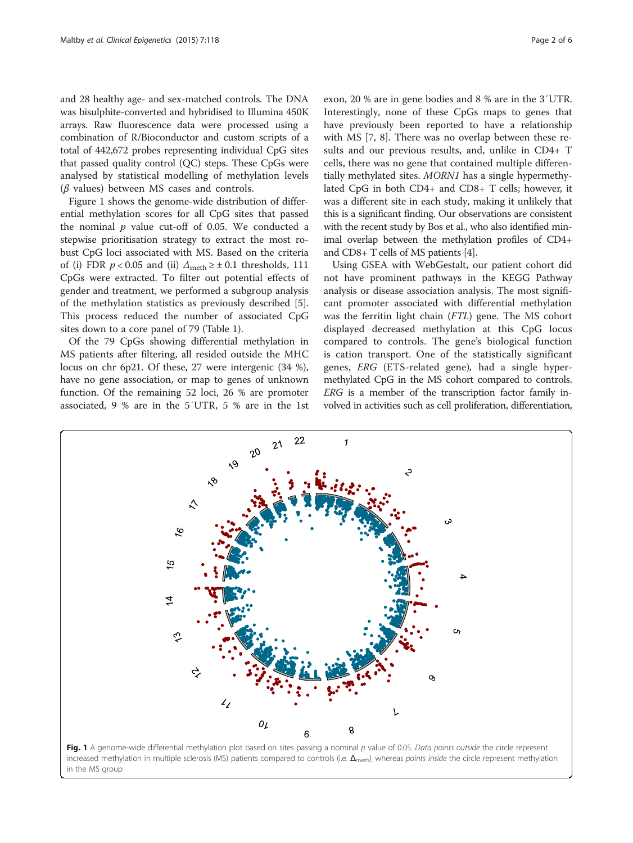and 28 healthy age- and sex-matched controls. The DNA was bisulphite-converted and hybridised to Illumina 450K arrays. Raw fluorescence data were processed using a combination of R/Bioconductor and custom scripts of a total of 442,672 probes representing individual CpG sites that passed quality control (QC) steps. These CpGs were analysed by statistical modelling of methylation levels  $(\beta$  values) between MS cases and controls.

Figure 1 shows the genome-wide distribution of differential methylation scores for all CpG sites that passed the nominal  $p$  value cut-off of 0.05. We conducted a stepwise prioritisation strategy to extract the most robust CpG loci associated with MS. Based on the criteria of (i) FDR  $p < 0.05$  and (ii)  $\Delta_{\rm meth} \geq \pm 0.1$  thresholds, 111 CpGs were extracted. To filter out potential effects of gender and treatment, we performed a subgroup analysis of the methylation statistics as previously described [\[5](#page-5-0)]. This process reduced the number of associated CpG sites down to a core panel of 79 (Table [1\)](#page-2-0).

Of the 79 CpGs showing differential methylation in MS patients after filtering, all resided outside the MHC locus on chr 6p21. Of these, 27 were intergenic (34 %), have no gene association, or map to genes of unknown function. Of the remaining 52 loci, 26 % are promoter associated, 9 % are in the 5′UTR, 5 % are in the 1st

exon, 20 % are in gene bodies and 8 % are in the 3′UTR. Interestingly, none of these CpGs maps to genes that have previously been reported to have a relationship with MS [[7, 8](#page-5-0)]. There was no overlap between these results and our previous results, and, unlike in CD4+ T cells, there was no gene that contained multiple differentially methylated sites. MORN1 has a single hypermethylated CpG in both CD4+ and CD8+ T cells; however, it was a different site in each study, making it unlikely that this is a significant finding. Our observations are consistent with the recent study by Bos et al., who also identified minimal overlap between the methylation profiles of CD4+ and CD8+ T cells of MS patients [[4](#page-5-0)].

Using GSEA with WebGestalt, our patient cohort did not have prominent pathways in the KEGG Pathway analysis or disease association analysis. The most significant promoter associated with differential methylation was the ferritin light chain (FTL) gene. The MS cohort displayed decreased methylation at this CpG locus compared to controls. The gene's biological function is cation transport. One of the statistically significant genes, ERG (ETS-related gene), had a single hypermethylated CpG in the MS cohort compared to controls. ERG is a member of the transcription factor family involved in activities such as cell proliferation, differentiation,



Fig. 1 A genome-wide differential methylation plot based on sites passing a nominal p value of 0.05. Data points outside the circle represent increased methylation in multiple sclerosis (MS) patients compared to controls (i.e.  $\Delta_{\text{meth}}$ ), whereas points inside the circle represent methylation in the MS group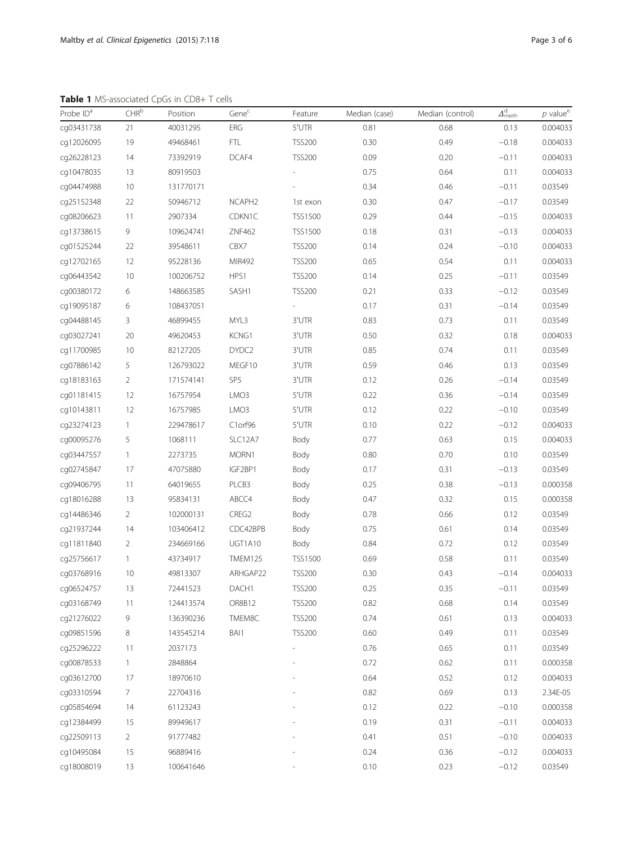<span id="page-2-0"></span>Table 1 MS-associated CpGs in CD8+ T cells

| Probe ID <sup>a</sup> | CHR <sup>b</sup> | Position  | Genec              | Feature       | Median (case) | Median (control) | $\varDelta_{\mathsf{meth}}^\mathsf{d}$ | $p$ value <sup>e</sup> |
|-----------------------|------------------|-----------|--------------------|---------------|---------------|------------------|----------------------------------------|------------------------|
| cg03431738            | 21               | 40031295  | ERG                | 5'UTR         | 0.81          | 0.68             | 0.13                                   | 0.004033               |
| cg12026095            | 19               | 49468461  | <b>FTL</b>         | <b>TSS200</b> | 0.30          | 0.49             | $-0.18$                                | 0.004033               |
| cg26228123            | 14               | 73392919  | DCAF4              | <b>TSS200</b> | 0.09          | 0.20             | $-0.11$                                | 0.004033               |
| cq10478035            | 13               | 80919503  |                    |               | 0.75          | 0.64             | 0.11                                   | 0.004033               |
| cg04474988            | 10               | 131770171 |                    |               | 0.34          | 0.46             | $-0.11$                                | 0.03549                |
| cg25152348            | 22               | 50946712  | NCAPH <sub>2</sub> | 1st exon      | 0.30          | 0.47             | $-0.17$                                | 0.03549                |
| cg08206623            | 11               | 2907334   | CDKN1C             | TSS1500       | 0.29          | 0.44             | $-0.15$                                | 0.004033               |
| cg13738615            | 9                | 109624741 | ZNF462             | TSS1500       | 0.18          | 0.31             | $-0.13$                                | 0.004033               |
| cg01525244            | 22               | 39548611  | CBX7               | <b>TSS200</b> | 0.14          | 0.24             | $-0.10$                                | 0.004033               |
| cg12702165            | 12               | 95228136  | MIR492             | <b>TSS200</b> | 0.65          | 0.54             | 0.11                                   | 0.004033               |
| cg06443542            | 10               | 100206752 | HPS1               | <b>TSS200</b> | 0.14          | 0.25             | $-0.11$                                | 0.03549                |
| cg00380172            | 6                | 148663585 | SASH1              | <b>TSS200</b> | 0.21          | 0.33             | $-0.12$                                | 0.03549                |
| cq19095187            | 6                | 108437051 |                    |               | 0.17          | 0.31             | $-0.14$                                | 0.03549                |
| cg04488145            | 3                | 46899455  | MYL3               | 3'UTR         | 0.83          | 0.73             | 0.11                                   | 0.03549                |
| cq03027241            | 20               | 49620453  | KCNG1              | 3'UTR         | 0.50          | 0.32             | 0.18                                   | 0.004033               |
| cq11700985            | 10               | 82127205  | DYDC2              | 3'UTR         | 0.85          | 0.74             | 0.11                                   | 0.03549                |
| cg07886142            | 5                | 126793022 | MEGF10             | 3'UTR         | 0.59          | 0.46             | 0.13                                   | 0.03549                |
| cg18183163            | $\overline{2}$   | 171574141 | SP5                | 3'UTR         | 0.12          | 0.26             | $-0.14$                                | 0.03549                |
| cg01181415            | 12               | 16757954  | LMO3               | 5'UTR         | 0.22          | 0.36             | $-0.14$                                | 0.03549                |
| cg10143811            | 12               | 16757985  | LMO3               | 5'UTR         | 0.12          | 0.22             | $-0.10$                                | 0.03549                |
| cg23274123            | 1                | 229478617 | C1orf96            | 5'UTR         | 0.10          | 0.22             | $-0.12$                                | 0.004033               |
| cg00095276            | 5                | 1068111   | SLC12A7            | Body          | 0.77          | 0.63             | 0.15                                   | 0.004033               |
| cg03447557            | $\mathbf{1}$     | 2273735   | MORN1              | Body          | 0.80          | 0.70             | 0.10                                   | 0.03549                |
| cg02745847            | 17               | 47075880  | IGF2BP1            | Body          | 0.17          | 0.31             | $-0.13$                                | 0.03549                |
| cq09406795            | 11               | 64019655  | PLCB3              | Body          | 0.25          | 0.38             | $-0.13$                                | 0.000358               |
| cg18016288            | 13               | 95834131  | ABCC4              | Body          | 0.47          | 0.32             | 0.15                                   | 0.000358               |
| cg14486346            | $\overline{2}$   | 102000131 | CREG2              | Body          | 0.78          | 0.66             | 0.12                                   | 0.03549                |
| cg21937244            | 14               | 103406412 | CDC42BPB           | Body          | 0.75          | 0.61             | 0.14                                   | 0.03549                |
| cg11811840            | $\overline{2}$   | 234669166 | UGT1A10            | Body          | 0.84          | 0.72             | 0.12                                   | 0.03549                |
| cg25756617            | 1                | 43734917  | TMEM125            | TSS1500       | 0.69          | 0.58             | 0.11                                   | 0.03549                |
| cg03768916            | 10               | 49813307  | ARHGAP22           | <b>TSS200</b> | 0.30          | 0.43             | $-0.14$                                | 0.004033               |
| cg06524757            | 13               | 72441523  | DACH1              | <b>TSS200</b> | 0.25          | 0.35             | $-0.11$                                | 0.03549                |
| cg03168749            | 11               | 124413574 | OR8B12             | <b>TSS200</b> | 0.82          | 0.68             | 0.14                                   | 0.03549                |
| cg21276022            | 9                | 136390236 | TMEM8C             | <b>TSS200</b> | 0.74          | 0.61             | 0.13                                   | 0.004033               |
| cg09851596            | 8                | 143545214 | BAI1               | <b>TSS200</b> | 0.60          | 0.49             | 0.11                                   | 0.03549                |
| cg25296222            | 11               | 2037173   |                    |               | 0.76          | 0.65             | 0.11                                   | 0.03549                |
| cg00878533            | 1                | 2848864   |                    |               | 0.72          | 0.62             | 0.11                                   | 0.000358               |
| cq03612700            | 17               | 18970610  |                    |               | 0.64          | 0.52             | 0.12                                   | 0.004033               |
| cq03310594            | 7                | 22704316  |                    |               | 0.82          | 0.69             | 0.13                                   | 2.34E-05               |
| cq05854694            | 14               | 61123243  |                    |               | 0.12          | 0.22             | $-0.10$                                | 0.000358               |
| cg12384499            | 15               | 89949617  |                    |               | 0.19          | 0.31             | $-0.11$                                | 0.004033               |
| cg22509113            | 2                | 91777482  |                    |               | 0.41          | 0.51             | $-0.10$                                | 0.004033               |
| cg10495084            | 15               | 96889416  |                    |               | 0.24          | 0.36             | $-0.12$                                | 0.004033               |
| cg18008019            | 13               | 100641646 |                    |               | 0.10          | 0.23             | $-0.12$                                | 0.03549                |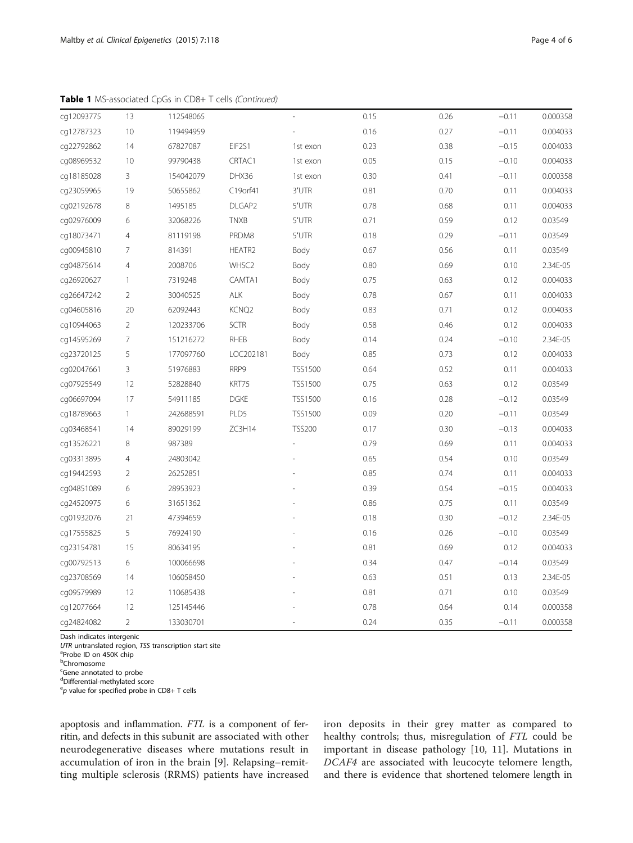Table 1 MS-associated CpGs in CD8+ T cells (Continued)

| cq12093775 | 13             | 112548065 |                   |                | 0.15 | 0.26 | $-0.11$ | 0.000358 |
|------------|----------------|-----------|-------------------|----------------|------|------|---------|----------|
| cg12787323 | 10             | 119494959 |                   |                | 0.16 | 0.27 | $-0.11$ | 0.004033 |
| cq22792862 | 14             | 67827087  | EIF2S1            | 1st exon       | 0.23 | 0.38 | $-0.15$ | 0.004033 |
| cg08969532 | 10             | 99790438  | CRTAC1            | 1st exon       | 0.05 | 0.15 | $-0.10$ | 0.004033 |
| cq18185028 | 3              | 154042079 | DHX36             | 1st exon       | 0.30 | 0.41 | $-0.11$ | 0.000358 |
| cg23059965 | 19             | 50655862  | C19orf41          | 3'UTR          | 0.81 | 0.70 | 0.11    | 0.004033 |
| cq02192678 | 8              | 1495185   | DLGAP2            | 5'UTR          | 0.78 | 0.68 | 0.11    | 0.004033 |
| cg02976009 | 6              | 32068226  | <b>TNXB</b>       | 5'UTR          | 0.71 | 0.59 | 0.12    | 0.03549  |
| cq18073471 | 4              | 81119198  | PRDM8             | 5'UTR          | 0.18 | 0.29 | $-0.11$ | 0.03549  |
| cg00945810 | $\overline{7}$ | 814391    | HEATR2            | Body           | 0.67 | 0.56 | 0.11    | 0.03549  |
| cq04875614 | $\overline{4}$ | 2008706   | WHSC2             | Body           | 0.80 | 0.69 | 0.10    | 2.34E-05 |
| cg26920627 | $\mathbf{1}$   | 7319248   | CAMTA1            | Body           | 0.75 | 0.63 | 0.12    | 0.004033 |
| cg26647242 | $\overline{2}$ | 30040525  | ALK               | Body           | 0.78 | 0.67 | 0.11    | 0.004033 |
| cg04605816 | 20             | 62092443  | KCNQ <sub>2</sub> | Body           | 0.83 | 0.71 | 0.12    | 0.004033 |
| cq10944063 | $\overline{2}$ | 120233706 | <b>SCTR</b>       | Body           | 0.58 | 0.46 | 0.12    | 0.004033 |
| cq14595269 | $\overline{7}$ | 151216272 | RHEB              | Body           | 0.14 | 0.24 | $-0.10$ | 2.34E-05 |
| cq23720125 | 5              | 177097760 | LOC202181         | Body           | 0.85 | 0.73 | 0.12    | 0.004033 |
| cg02047661 | 3              | 51976883  | RRP9              | <b>TSS1500</b> | 0.64 | 0.52 | 0.11    | 0.004033 |
| cg07925549 | 12             | 52828840  | KRT75             | <b>TSS1500</b> | 0.75 | 0.63 | 0.12    | 0.03549  |
| cq06697094 | 17             | 54911185  | <b>DGKE</b>       | <b>TSS1500</b> | 0.16 | 0.28 | $-0.12$ | 0.03549  |
| cg18789663 | $\mathbf{1}$   | 242688591 | PLD5              | <b>TSS1500</b> | 0.09 | 0.20 | $-0.11$ | 0.03549  |
| cg03468541 | 14             | 89029199  | ZC3H14            | <b>TSS200</b>  | 0.17 | 0.30 | $-0.13$ | 0.004033 |
| cq13526221 | 8              | 987389    |                   |                | 0.79 | 0.69 | 0.11    | 0.004033 |
| cq03313895 | 4              | 24803042  |                   |                | 0.65 | 0.54 | 0.10    | 0.03549  |
| cg19442593 | $\overline{2}$ | 26252851  |                   |                | 0.85 | 0.74 | 0.11    | 0.004033 |
| cq04851089 | 6              | 28953923  |                   |                | 0.39 | 0.54 | $-0.15$ | 0.004033 |
| cg24520975 | 6              | 31651362  |                   |                | 0.86 | 0.75 | 0.11    | 0.03549  |
| cg01932076 | 21             | 47394659  |                   |                | 0.18 | 0.30 | $-0.12$ | 2.34E-05 |
| cg17555825 | 5              | 76924190  |                   |                | 0.16 | 0.26 | $-0.10$ | 0.03549  |
| cg23154781 | 15             | 80634195  |                   |                | 0.81 | 0.69 | 0.12    | 0.004033 |
| cg00792513 | 6              | 100066698 |                   |                | 0.34 | 0.47 | $-0.14$ | 0.03549  |
| cq23708569 | 14             | 106058450 |                   |                | 0.63 | 0.51 | 0.13    | 2.34E-05 |
| cg09579989 | 12             | 110685438 |                   |                | 0.81 | 0.71 | 0.10    | 0.03549  |
| cq12077664 | 12             | 125145446 |                   |                | 0.78 | 0.64 | 0.14    | 0.000358 |
| cq24824082 | $\overline{2}$ | 133030701 |                   |                | 0.24 | 0.35 | $-0.11$ | 0.000358 |

Dash indicates intergenic

 $UTR$  untranslated region, TSS transcription start site

<sup>a</sup>Probe ID on 450K chip

<sup>b</sup>Chromosome

<sup>c</sup>Gene annotated to probe dDifferential-methylated score

 $e_p$  value for specified probe in CD8+ T cells

apoptosis and inflammation. FTL is a component of ferritin, and defects in this subunit are associated with other neurodegenerative diseases where mutations result in accumulation of iron in the brain [[9\]](#page-5-0). Relapsing–remitting multiple sclerosis (RRMS) patients have increased iron deposits in their grey matter as compared to healthy controls; thus, misregulation of FTL could be important in disease pathology [\[10](#page-5-0), [11](#page-5-0)]. Mutations in DCAF4 are associated with leucocyte telomere length, and there is evidence that shortened telomere length in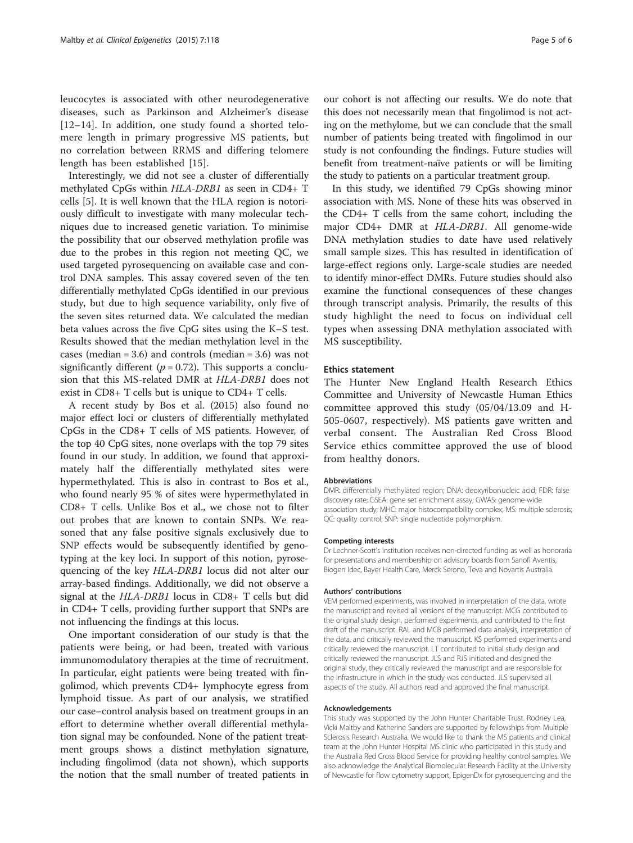leucocytes is associated with other neurodegenerative diseases, such as Parkinson and Alzheimer's disease [[12](#page-5-0)–[14\]](#page-5-0). In addition, one study found a shorted telomere length in primary progressive MS patients, but no correlation between RRMS and differing telomere length has been established [[15\]](#page-5-0).

Interestingly, we did not see a cluster of differentially methylated CpGs within HLA-DRB1 as seen in CD4+ T cells [[5\]](#page-5-0). It is well known that the HLA region is notoriously difficult to investigate with many molecular techniques due to increased genetic variation. To minimise the possibility that our observed methylation profile was due to the probes in this region not meeting QC, we used targeted pyrosequencing on available case and control DNA samples. This assay covered seven of the ten differentially methylated CpGs identified in our previous study, but due to high sequence variability, only five of the seven sites returned data. We calculated the median beta values across the five CpG sites using the K–S test. Results showed that the median methylation level in the cases (median  $= 3.6$ ) and controls (median  $= 3.6$ ) was not significantly different ( $p = 0.72$ ). This supports a conclusion that this MS-related DMR at HLA-DRB1 does not exist in CD8+ T cells but is unique to CD4+ T cells.

A recent study by Bos et al. (2015) also found no major effect loci or clusters of differentially methylated CpGs in the CD8+ T cells of MS patients. However, of the top 40 CpG sites, none overlaps with the top 79 sites found in our study. In addition, we found that approximately half the differentially methylated sites were hypermethylated. This is also in contrast to Bos et al., who found nearly 95 % of sites were hypermethylated in CD8+ T cells. Unlike Bos et al., we chose not to filter out probes that are known to contain SNPs. We reasoned that any false positive signals exclusively due to SNP effects would be subsequently identified by genotyping at the key loci. In support of this notion, pyrosequencing of the key HLA-DRB1 locus did not alter our array-based findings. Additionally, we did not observe a signal at the HLA-DRB1 locus in CD8+ T cells but did in CD4+ T cells, providing further support that SNPs are not influencing the findings at this locus.

One important consideration of our study is that the patients were being, or had been, treated with various immunomodulatory therapies at the time of recruitment. In particular, eight patients were being treated with fingolimod, which prevents CD4+ lymphocyte egress from lymphoid tissue. As part of our analysis, we stratified our case–control analysis based on treatment groups in an effort to determine whether overall differential methylation signal may be confounded. None of the patient treatment groups shows a distinct methylation signature, including fingolimod (data not shown), which supports the notion that the small number of treated patients in our cohort is not affecting our results. We do note that this does not necessarily mean that fingolimod is not acting on the methylome, but we can conclude that the small number of patients being treated with fingolimod in our study is not confounding the findings. Future studies will benefit from treatment-naïve patients or will be limiting the study to patients on a particular treatment group.

In this study, we identified 79 CpGs showing minor association with MS. None of these hits was observed in the CD4+ T cells from the same cohort, including the major CD4+ DMR at HLA-DRB1. All genome-wide DNA methylation studies to date have used relatively small sample sizes. This has resulted in identification of large-effect regions only. Large-scale studies are needed to identify minor-effect DMRs. Future studies should also examine the functional consequences of these changes through transcript analysis. Primarily, the results of this study highlight the need to focus on individual cell types when assessing DNA methylation associated with MS susceptibility.

#### Ethics statement

The Hunter New England Health Research Ethics Committee and University of Newcastle Human Ethics committee approved this study (05/04/13.09 and H-505-0607, respectively). MS patients gave written and verbal consent. The Australian Red Cross Blood Service ethics committee approved the use of blood from healthy donors.

#### Abbreviations

DMR: differentially methylated region; DNA: deoxyribonucleic acid; FDR: false discovery rate; GSEA: gene set enrichment assay; GWAS: genome-wide association study; MHC: major histocompatibility complex; MS: multiple sclerosis; QC: quality control; SNP: single nucleotide polymorphism.

#### Competing interests

Dr Lechner-Scott's institution receives non-directed funding as well as honoraria for presentations and membership on advisory boards from Sanofi Aventis, Biogen Idec, Bayer Health Care, Merck Serono, Teva and Novartis Australia.

#### Authors' contributions

VEM performed experiments, was involved in interpretation of the data, wrote the manuscript and revised all versions of the manuscript. MCG contributed to the original study design, performed experiments, and contributed to the first draft of the manuscript. RAL and MCB performed data analysis, interpretation of the data, and critically reviewed the manuscript. KS performed experiments and critically reviewed the manuscript. LT contributed to initial study design and critically reviewed the manuscript. JLS and RJS initiated and designed the original study, they critically reviewed the manuscript and are responsible for the infrastructure in which in the study was conducted. JLS supervised all aspects of the study. All authors read and approved the final manuscript.

#### Acknowledgements

This study was supported by the John Hunter Charitable Trust. Rodney Lea, Vicki Maltby and Katherine Sanders are supported by fellowships from Multiple Sclerosis Research Australia. We would like to thank the MS patients and clinical team at the John Hunter Hospital MS clinic who participated in this study and the Australia Red Cross Blood Service for providing healthy control samples. We also acknowledge the Analytical Biomolecular Research Facility at the University of Newcastle for flow cytometry support, EpigenDx for pyrosequencing and the